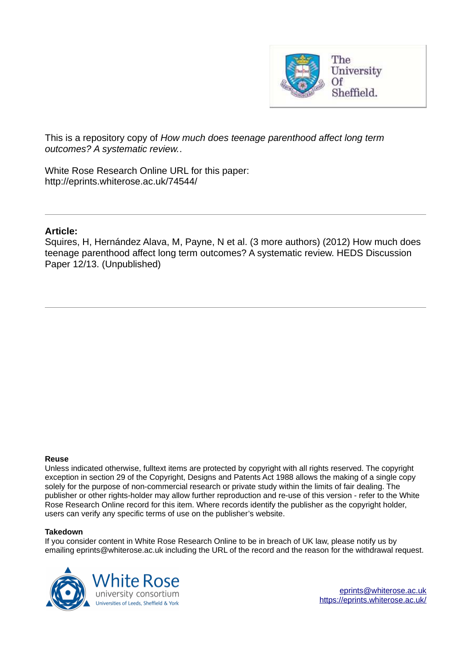

This is a repository copy of *How much does teenage parenthood affect long term outcomes? A systematic review.*.

White Rose Research Online URL for this paper: http://eprints.whiterose.ac.uk/74544/

# **Article:**

Squires, H, Hernández Alava, M, Payne, N et al. (3 more authors) (2012) How much does teenage parenthood affect long term outcomes? A systematic review. HEDS Discussion Paper 12/13. (Unpublished)

#### **Reuse**

Unless indicated otherwise, fulltext items are protected by copyright with all rights reserved. The copyright exception in section 29 of the Copyright, Designs and Patents Act 1988 allows the making of a single copy solely for the purpose of non-commercial research or private study within the limits of fair dealing. The publisher or other rights-holder may allow further reproduction and re-use of this version - refer to the White Rose Research Online record for this item. Where records identify the publisher as the copyright holder, users can verify any specific terms of use on the publisher's website.

#### **Takedown**

If you consider content in White Rose Research Online to be in breach of UK law, please notify us by emailing eprints@whiterose.ac.uk including the URL of the record and the reason for the withdrawal request.

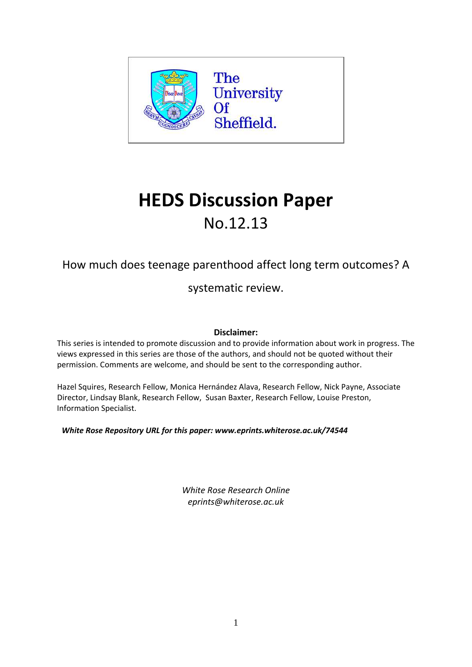

# **HEDS Discussion Paper** No.12.13

# How much does teenage parenthood affect long term outcomes? A

systematic review.

# **Disclaimer:**

This series is intended to promote discussion and to provide information about work in progress. The views expressed in this series are those of the authors, and should not be quoted without their permission. Comments are welcome, and should be sent to the corresponding author.

Hazel Squires, Research Fellow, Monica Hernández Alava, Research Fellow, Nick Payne, Associate Director, Lindsay Blank, Research Fellow, Susan Baxter, Research Fellow, Louise Preston, Information Specialist.

*White Rose Repository URL for this paper: www.eprints.whiterose.ac.uk/74544*

*White Rose Research Online eprints@whiterose.ac.uk*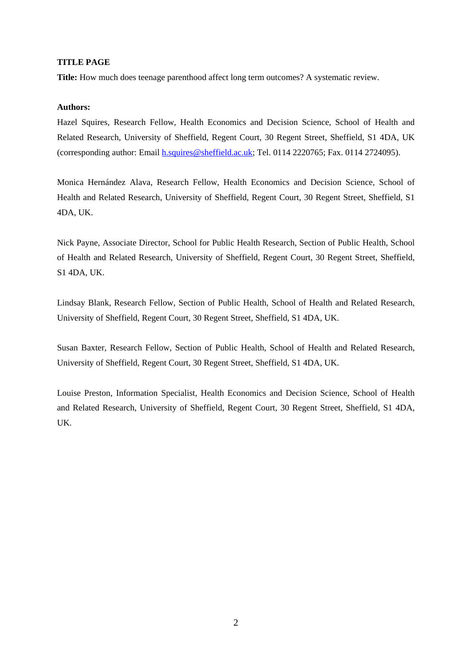#### **TITLE PAGE**

**Title:** How much does teenage parenthood affect long term outcomes? A systematic review.

### **Authors:**

Hazel Squires, Research Fellow, Health Economics and Decision Science, School of Health and Related Research, University of Sheffield, Regent Court, 30 Regent Street, Sheffield, S1 4DA, UK (corresponding author: Email h.squires@sheffield.ac.uk; Tel. 0114 2220765; Fax. 0114 2724095).

Monica Hernández Alava, Research Fellow, Health Economics and Decision Science, School of Health and Related Research, University of Sheffield, Regent Court, 30 Regent Street, Sheffield, S1 4DA, UK.

Nick Payne, Associate Director, School for Public Health Research, Section of Public Health, School of Health and Related Research, University of Sheffield, Regent Court, 30 Regent Street, Sheffield, S1 4DA, UK.

Lindsay Blank, Research Fellow, Section of Public Health, School of Health and Related Research, University of Sheffield, Regent Court, 30 Regent Street, Sheffield, S1 4DA, UK.

Susan Baxter, Research Fellow, Section of Public Health, School of Health and Related Research, University of Sheffield, Regent Court, 30 Regent Street, Sheffield, S1 4DA, UK.

Louise Preston, Information Specialist, Health Economics and Decision Science, School of Health and Related Research, University of Sheffield, Regent Court, 30 Regent Street, Sheffield, S1 4DA, UK.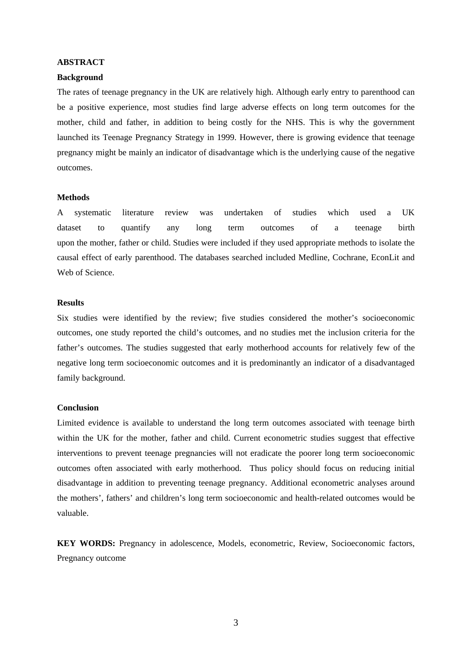# **ABSTRACT**

#### **Background**

The rates of teenage pregnancy in the UK are relatively high. Although early entry to parenthood can be a positive experience, most studies find large adverse effects on long term outcomes for the mother, child and father, in addition to being costly for the NHS. This is why the government launched its Teenage Pregnancy Strategy in 1999. However, there is growing evidence that teenage pregnancy might be mainly an indicator of disadvantage which is the underlying cause of the negative outcomes.

#### **Methods**

A systematic literature review was undertaken of studies which used a UK dataset to quantify any long term outcomes of a teenage birth upon the mother, father or child. Studies were included if they used appropriate methods to isolate the causal effect of early parenthood. The databases searched included Medline, Cochrane, EconLit and Web of Science.

#### **Results**

Six studies were identified by the review; five studies considered the mother's socioeconomic outcomes, one study reported the child's outcomes, and no studies met the inclusion criteria for the father's outcomes. The studies suggested that early motherhood accounts for relatively few of the negative long term socioeconomic outcomes and it is predominantly an indicator of a disadvantaged family background.

#### **Conclusion**

Limited evidence is available to understand the long term outcomes associated with teenage birth within the UK for the mother, father and child. Current econometric studies suggest that effective interventions to prevent teenage pregnancies will not eradicate the poorer long term socioeconomic outcomes often associated with early motherhood. Thus policy should focus on reducing initial disadvantage in addition to preventing teenage pregnancy. Additional econometric analyses around the mothers', fathers' and children's long term socioeconomic and health-related outcomes would be valuable.

**KEY WORDS:** Pregnancy in adolescence, Models, econometric, Review, Socioeconomic factors, Pregnancy outcome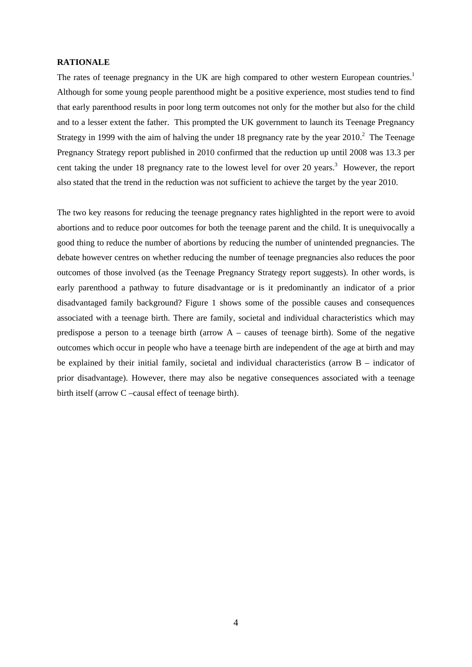#### **RATIONALE**

The rates of teenage pregnancy in the UK are high compared to other western European countries.<sup>1</sup> Although for some young people parenthood might be a positive experience, most studies tend to find that early parenthood results in poor long term outcomes not only for the mother but also for the child and to a lesser extent the father. This prompted the UK government to launch its Teenage Pregnancy Strategy in 1999 with the aim of halving the under 18 pregnancy rate by the year  $2010$ <sup>2</sup>. The Teenage Pregnancy Strategy report published in 2010 confirmed that the reduction up until 2008 was 13.3 per cent taking the under 18 pregnancy rate to the lowest level for over 20 years.<sup>3</sup> However, the report also stated that the trend in the reduction was not sufficient to achieve the target by the year 2010.

The two key reasons for reducing the teenage pregnancy rates highlighted in the report were to avoid abortions and to reduce poor outcomes for both the teenage parent and the child. It is unequivocally a good thing to reduce the number of abortions by reducing the number of unintended pregnancies. The debate however centres on whether reducing the number of teenage pregnancies also reduces the poor outcomes of those involved (as the Teenage Pregnancy Strategy report suggests). In other words, is early parenthood a pathway to future disadvantage or is it predominantly an indicator of a prior disadvantaged family background? Figure 1 shows some of the possible causes and consequences associated with a teenage birth. There are family, societal and individual characteristics which may predispose a person to a teenage birth (arrow A – causes of teenage birth). Some of the negative outcomes which occur in people who have a teenage birth are independent of the age at birth and may be explained by their initial family, societal and individual characteristics (arrow B – indicator of prior disadvantage). However, there may also be negative consequences associated with a teenage birth itself (arrow C –causal effect of teenage birth).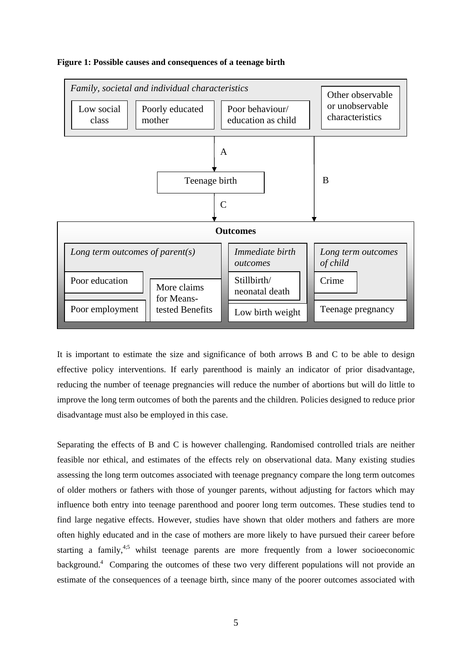

#### **Figure 1: Possible causes and consequences of a teenage birth**

It is important to estimate the size and significance of both arrows B and C to be able to design effective policy interventions. If early parenthood is mainly an indicator of prior disadvantage, reducing the number of teenage pregnancies will reduce the number of abortions but will do little to improve the long term outcomes of both the parents and the children. Policies designed to reduce prior disadvantage must also be employed in this case.

Separating the effects of B and C is however challenging. Randomised controlled trials are neither feasible nor ethical, and estimates of the effects rely on observational data. Many existing studies assessing the long term outcomes associated with teenage pregnancy compare the long term outcomes of older mothers or fathers with those of younger parents, without adjusting for factors which may influence both entry into teenage parenthood and poorer long term outcomes. These studies tend to find large negative effects. However, studies have shown that older mothers and fathers are more often highly educated and in the case of mothers are more likely to have pursued their career before starting a family,<sup>4;5</sup> whilst teenage parents are more frequently from a lower socioeconomic background.<sup>4</sup> Comparing the outcomes of these two very different populations will not provide an estimate of the consequences of a teenage birth, since many of the poorer outcomes associated with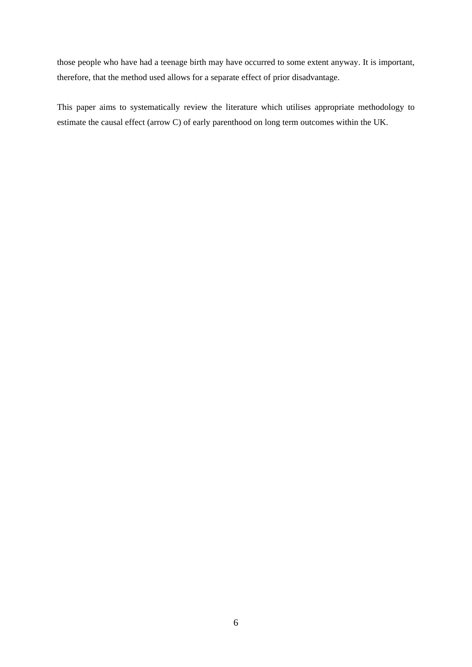those people who have had a teenage birth may have occurred to some extent anyway. It is important, therefore, that the method used allows for a separate effect of prior disadvantage.

This paper aims to systematically review the literature which utilises appropriate methodology to estimate the causal effect (arrow C) of early parenthood on long term outcomes within the UK.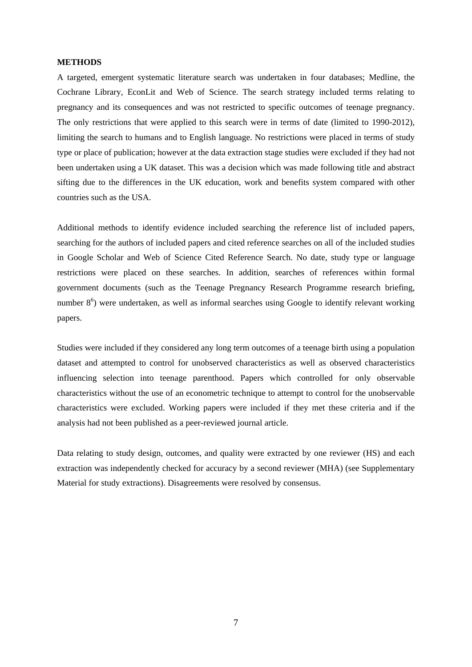#### **METHODS**

A targeted, emergent systematic literature search was undertaken in four databases; Medline, the Cochrane Library, EconLit and Web of Science. The search strategy included terms relating to pregnancy and its consequences and was not restricted to specific outcomes of teenage pregnancy. The only restrictions that were applied to this search were in terms of date (limited to 1990-2012), limiting the search to humans and to English language. No restrictions were placed in terms of study type or place of publication; however at the data extraction stage studies were excluded if they had not been undertaken using a UK dataset. This was a decision which was made following title and abstract sifting due to the differences in the UK education, work and benefits system compared with other countries such as the USA.

Additional methods to identify evidence included searching the reference list of included papers, searching for the authors of included papers and cited reference searches on all of the included studies in Google Scholar and Web of Science Cited Reference Search. No date, study type or language restrictions were placed on these searches. In addition, searches of references within formal government documents (such as the Teenage Pregnancy Research Programme research briefing, number 8<sup>6</sup>) were undertaken, as well as informal searches using Google to identify relevant working papers.

Studies were included if they considered any long term outcomes of a teenage birth using a population dataset and attempted to control for unobserved characteristics as well as observed characteristics influencing selection into teenage parenthood. Papers which controlled for only observable characteristics without the use of an econometric technique to attempt to control for the unobservable characteristics were excluded. Working papers were included if they met these criteria and if the analysis had not been published as a peer-reviewed journal article.

Data relating to study design, outcomes, and quality were extracted by one reviewer (HS) and each extraction was independently checked for accuracy by a second reviewer (MHA) (see Supplementary Material for study extractions). Disagreements were resolved by consensus.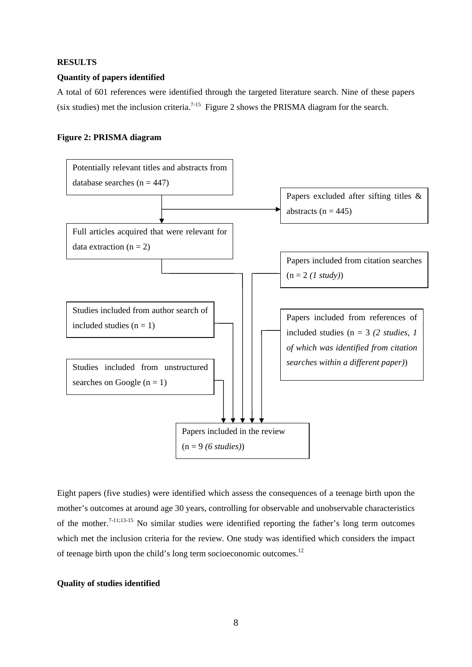#### **RESULTS**

#### **Quantity of papers identified**

A total of 601 references were identified through the targeted literature search. Nine of these papers (six studies) met the inclusion criteria.<sup>7-15</sup> Figure 2 shows the PRISMA diagram for the search.

#### **Figure 2: PRISMA diagram**



Eight papers (five studies) were identified which assess the consequences of a teenage birth upon the mother's outcomes at around age 30 years, controlling for observable and unobservable characteristics of the mother.7-11;13-15 No similar studies were identified reporting the father's long term outcomes which met the inclusion criteria for the review. One study was identified which considers the impact of teenage birth upon the child's long term socioeconomic outcomes.<sup>12</sup>

#### **Quality of studies identified**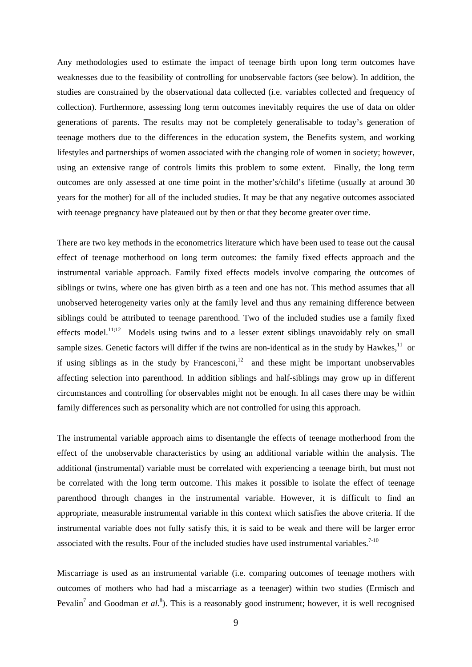Any methodologies used to estimate the impact of teenage birth upon long term outcomes have weaknesses due to the feasibility of controlling for unobservable factors (see below). In addition, the studies are constrained by the observational data collected (i.e. variables collected and frequency of collection). Furthermore, assessing long term outcomes inevitably requires the use of data on older generations of parents. The results may not be completely generalisable to today's generation of teenage mothers due to the differences in the education system, the Benefits system, and working lifestyles and partnerships of women associated with the changing role of women in society; however, using an extensive range of controls limits this problem to some extent. Finally, the long term outcomes are only assessed at one time point in the mother's/child's lifetime (usually at around 30 years for the mother) for all of the included studies. It may be that any negative outcomes associated with teenage pregnancy have plateaued out by then or that they become greater over time.

There are two key methods in the econometrics literature which have been used to tease out the causal effect of teenage motherhood on long term outcomes: the family fixed effects approach and the instrumental variable approach. Family fixed effects models involve comparing the outcomes of siblings or twins, where one has given birth as a teen and one has not. This method assumes that all unobserved heterogeneity varies only at the family level and thus any remaining difference between siblings could be attributed to teenage parenthood. Two of the included studies use a family fixed effects model.<sup>11;12</sup> Models using twins and to a lesser extent siblings unavoidably rely on small sample sizes. Genetic factors will differ if the twins are non-identical as in the study by Hawkes,<sup>11</sup> or if using siblings as in the study by Francesconi,<sup>12</sup> and these might be important unobservables affecting selection into parenthood. In addition siblings and half-siblings may grow up in different circumstances and controlling for observables might not be enough. In all cases there may be within family differences such as personality which are not controlled for using this approach.

The instrumental variable approach aims to disentangle the effects of teenage motherhood from the effect of the unobservable characteristics by using an additional variable within the analysis. The additional (instrumental) variable must be correlated with experiencing a teenage birth, but must not be correlated with the long term outcome. This makes it possible to isolate the effect of teenage parenthood through changes in the instrumental variable. However, it is difficult to find an appropriate, measurable instrumental variable in this context which satisfies the above criteria. If the instrumental variable does not fully satisfy this, it is said to be weak and there will be larger error associated with the results. Four of the included studies have used instrumental variables.<sup>7-10</sup>

Miscarriage is used as an instrumental variable (i.e. comparing outcomes of teenage mothers with outcomes of mothers who had had a miscarriage as a teenager) within two studies (Ermisch and Pevalin<sup>7</sup> and Goodman *et al.*<sup>8</sup>). This is a reasonably good instrument; however, it is well recognised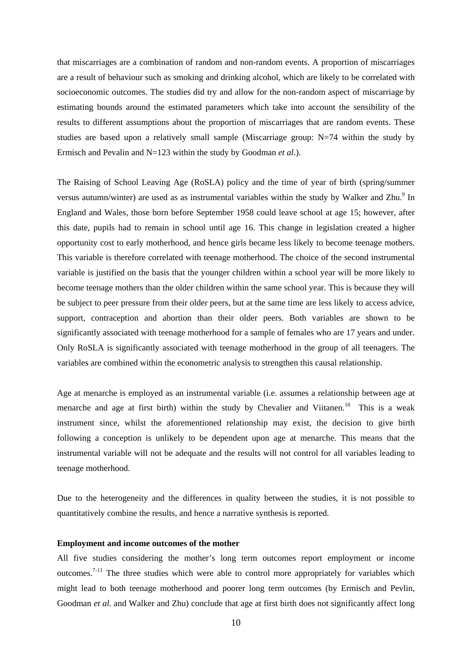that miscarriages are a combination of random and non-random events. A proportion of miscarriages are a result of behaviour such as smoking and drinking alcohol, which are likely to be correlated with socioeconomic outcomes. The studies did try and allow for the non-random aspect of miscarriage by estimating bounds around the estimated parameters which take into account the sensibility of the results to different assumptions about the proportion of miscarriages that are random events. These studies are based upon a relatively small sample (Miscarriage group: N=74 within the study by Ermisch and Pevalin and N=123 within the study by Goodman *et al*.).

The Raising of School Leaving Age (RoSLA) policy and the time of year of birth (spring/summer versus autumn/winter) are used as as instrumental variables within the study by Walker and Zhu. $9$  In England and Wales, those born before September 1958 could leave school at age 15; however, after this date, pupils had to remain in school until age 16. This change in legislation created a higher opportunity cost to early motherhood, and hence girls became less likely to become teenage mothers. This variable is therefore correlated with teenage motherhood. The choice of the second instrumental variable is justified on the basis that the younger children within a school year will be more likely to become teenage mothers than the older children within the same school year. This is because they will be subject to peer pressure from their older peers, but at the same time are less likely to access advice, support, contraception and abortion than their older peers. Both variables are shown to be significantly associated with teenage motherhood for a sample of females who are 17 years and under. Only RoSLA is significantly associated with teenage motherhood in the group of all teenagers. The variables are combined within the econometric analysis to strengthen this causal relationship.

Age at menarche is employed as an instrumental variable (i.e. assumes a relationship between age at menarche and age at first birth) within the study by Chevalier and Viitanen.<sup>10</sup> This is a weak instrument since, whilst the aforementioned relationship may exist, the decision to give birth following a conception is unlikely to be dependent upon age at menarche. This means that the instrumental variable will not be adequate and the results will not control for all variables leading to teenage motherhood.

Due to the heterogeneity and the differences in quality between the studies, it is not possible to quantitatively combine the results, and hence a narrative synthesis is reported.

#### **Employment and income outcomes of the mother**

All five studies considering the mother's long term outcomes report employment or income outcomes.<sup>7-11</sup> The three studies which were able to control more appropriately for variables which might lead to both teenage motherhood and poorer long term outcomes (by Ermisch and Pevlin, Goodman *et al*. and Walker and Zhu) conclude that age at first birth does not significantly affect long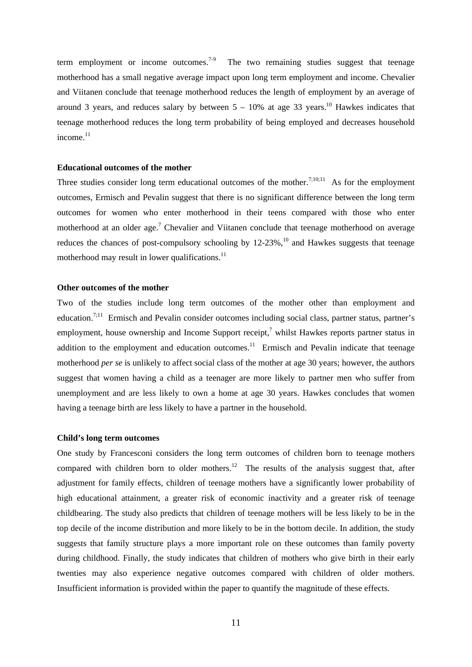term employment or income outcomes.<sup>7-9</sup> The two remaining studies suggest that teenage motherhood has a small negative average impact upon long term employment and income. Chevalier and Viitanen conclude that teenage motherhood reduces the length of employment by an average of around 3 years, and reduces salary by between  $5 - 10\%$  at age 33 years.<sup>10</sup> Hawkes indicates that teenage motherhood reduces the long term probability of being employed and decreases household income. $11$ 

#### **Educational outcomes of the mother**

Three studies consider long term educational outcomes of the mother.<sup>7;10;11</sup> As for the employment outcomes, Ermisch and Pevalin suggest that there is no significant difference between the long term outcomes for women who enter motherhood in their teens compared with those who enter motherhood at an older age.<sup>7</sup> Chevalier and Viitanen conclude that teenage motherhood on average reduces the chances of post-compulsory schooling by  $12-23\%$ ,  $^{10}$  and Hawkes suggests that teenage motherhood may result in lower qualifications.<sup>11</sup>

#### **Other outcomes of the mother**

Two of the studies include long term outcomes of the mother other than employment and education.<sup>7;11</sup> Ermisch and Pevalin consider outcomes including social class, partner status, partner's employment, house ownership and Income Support receipt, $\alpha$ <sup>7</sup> whilst Hawkes reports partner status in addition to the employment and education outcomes.<sup>11</sup> Ermisch and Pevalin indicate that teenage motherhood *per se* is unlikely to affect social class of the mother at age 30 years; however, the authors suggest that women having a child as a teenager are more likely to partner men who suffer from unemployment and are less likely to own a home at age 30 years. Hawkes concludes that women having a teenage birth are less likely to have a partner in the household.

#### **Child's long term outcomes**

One study by Francesconi considers the long term outcomes of children born to teenage mothers compared with children born to older mothers.<sup>12</sup> The results of the analysis suggest that, after adjustment for family effects, children of teenage mothers have a significantly lower probability of high educational attainment, a greater risk of economic inactivity and a greater risk of teenage childbearing. The study also predicts that children of teenage mothers will be less likely to be in the top decile of the income distribution and more likely to be in the bottom decile. In addition, the study suggests that family structure plays a more important role on these outcomes than family poverty during childhood. Finally, the study indicates that children of mothers who give birth in their early twenties may also experience negative outcomes compared with children of older mothers. Insufficient information is provided within the paper to quantify the magnitude of these effects.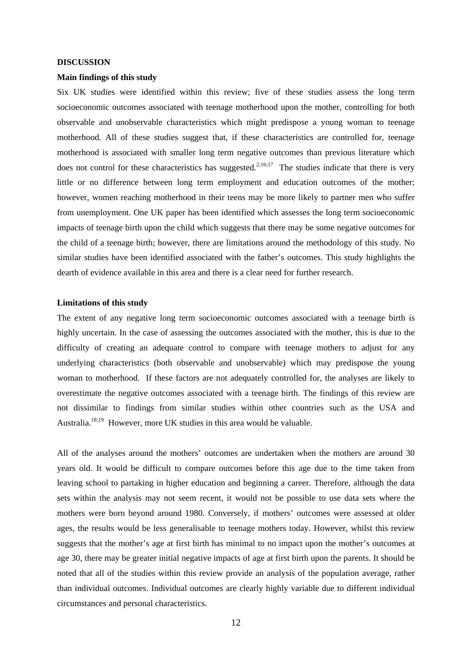#### **DISCUSSION**

#### **Main findings of this study**

Six UK studies were identified within this review; five of these studies assess the long term socioeconomic outcomes associated with teenage motherhood upon the mother, controlling for both observable and unobservable characteristics which might predispose a young woman to teenage motherhood. All of these studies suggest that, if these characteristics are controlled for, teenage motherhood is associated with smaller long term negative outcomes than previous literature which does not control for these characteristics has suggested.<sup>2;16;17</sup> The studies indicate that there is very little or no difference between long term employment and education outcomes of the mother; however, women reaching motherhood in their teens may be more likely to partner men who suffer from unemployment. One UK paper has been identified which assesses the long term socioeconomic impacts of teenage birth upon the child which suggests that there may be some negative outcomes for the child of a teenage birth; however, there are limitations around the methodology of this study. No similar studies have been identified associated with the father's outcomes. This study highlights the dearth of evidence available in this area and there is a clear need for further research.

#### **Limitations of this study**

The extent of any negative long term socioeconomic outcomes associated with a teenage birth is highly uncertain. In the case of assessing the outcomes associated with the mother, this is due to the difficulty of creating an adequate control to compare with teenage mothers to adjust for any underlying characteristics (both observable and unobservable) which may predispose the young woman to motherhood. If these factors are not adequately controlled for, the analyses are likely to overestimate the negative outcomes associated with a teenage birth. The findings of this review are not dissimilar to findings from similar studies within other countries such as the USA and Australia.18;19 However, more UK studies in this area would be valuable.

All of the analyses around the mothers' outcomes are undertaken when the mothers are around 30 years old. It would be difficult to compare outcomes before this age due to the time taken from leaving school to partaking in higher education and beginning a career. Therefore, although the data sets within the analysis may not seem recent, it would not be possible to use data sets where the mothers were born beyond around 1980. Conversely, if mothers' outcomes were assessed at older ages, the results would be less generalisable to teenage mothers today. However, whilst this review suggests that the mother's age at first birth has minimal to no impact upon the mother's outcomes at age 30, there may be greater initial negative impacts of age at first birth upon the parents. It should be noted that all of the studies within this review provide an analysis of the population average, rather than individual outcomes. Individual outcomes are clearly highly variable due to different individual circumstances and personal characteristics.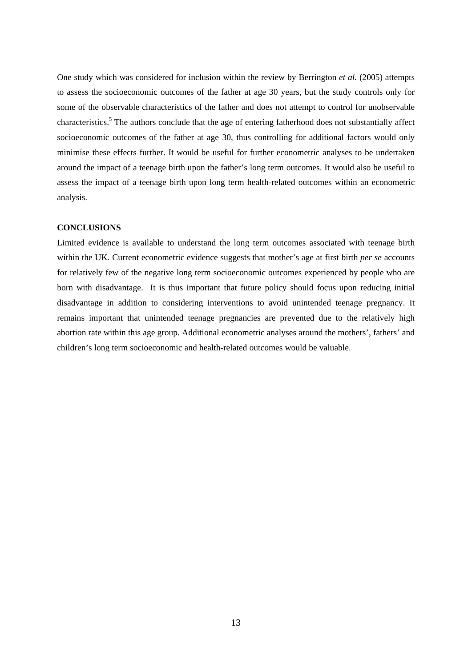One study which was considered for inclusion within the review by Berrington *et al.* (2005) attempts to assess the socioeconomic outcomes of the father at age 30 years, but the study controls only for some of the observable characteristics of the father and does not attempt to control for unobservable characteristics.<sup>5</sup> The authors conclude that the age of entering fatherhood does not substantially affect socioeconomic outcomes of the father at age 30, thus controlling for additional factors would only minimise these effects further. It would be useful for further econometric analyses to be undertaken around the impact of a teenage birth upon the father's long term outcomes. It would also be useful to assess the impact of a teenage birth upon long term health-related outcomes within an econometric analysis.

#### **CONCLUSIONS**

Limited evidence is available to understand the long term outcomes associated with teenage birth within the UK. Current econometric evidence suggests that mother's age at first birth *per se* accounts for relatively few of the negative long term socioeconomic outcomes experienced by people who are born with disadvantage. It is thus important that future policy should focus upon reducing initial disadvantage in addition to considering interventions to avoid unintended teenage pregnancy. It remains important that unintended teenage pregnancies are prevented due to the relatively high abortion rate within this age group. Additional econometric analyses around the mothers', fathers' and children's long term socioeconomic and health-related outcomes would be valuable.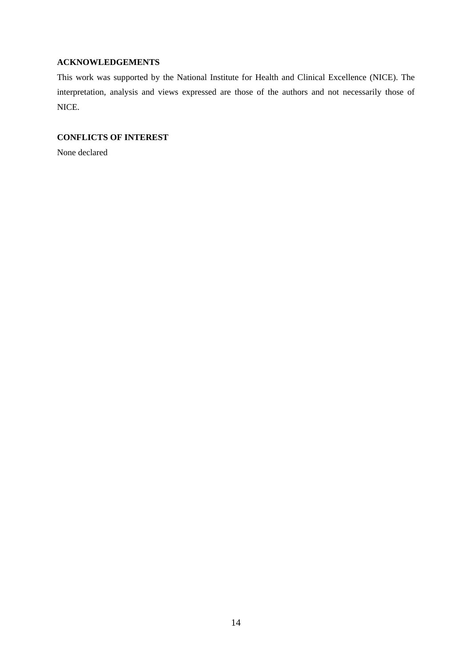# **ACKNOWLEDGEMENTS**

This work was supported by the National Institute for Health and Clinical Excellence (NICE). The interpretation, analysis and views expressed are those of the authors and not necessarily those of NICE.

# **CONFLICTS OF INTEREST**

None declared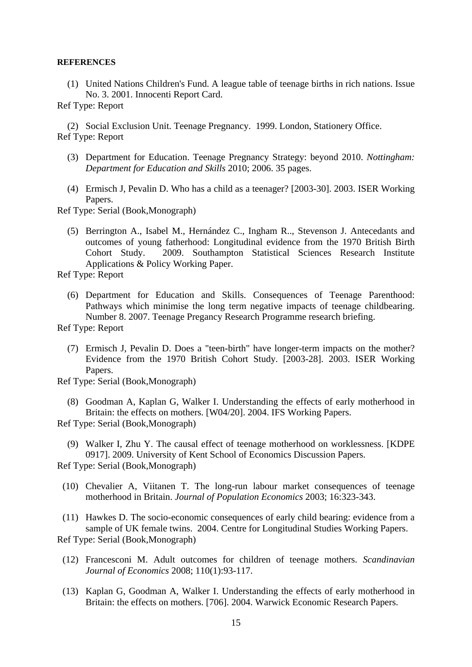#### **REFERENCES**

 (1) United Nations Children's Fund. A league table of teenage births in rich nations. Issue No. 3. 2001. Innocenti Report Card.

Ref Type: Report

 (2) Social Exclusion Unit. Teenage Pregnancy. 1999. London, Stationery Office. Ref Type: Report

- (3) Department for Education. Teenage Pregnancy Strategy: beyond 2010. *Nottingham: Department for Education and Skills* 2010; 2006. 35 pages.
- (4) Ermisch J, Pevalin D. Who has a child as a teenager? [2003-30]. 2003. ISER Working Papers.

Ref Type: Serial (Book,Monograph)

 (5) Berrington A., Isabel M., Hernández C., Ingham R.., Stevenson J. Antecedants and outcomes of young fatherhood: Longitudinal evidence from the 1970 British Birth<br>Cohort Study. 2009. Southampton Statistical Sciences Research Institute 2009. Southampton Statistical Sciences Research Institute Applications & Policy Working Paper.

Ref Type: Report

 (6) Department for Education and Skills. Consequences of Teenage Parenthood: Pathways which minimise the long term negative impacts of teenage childbearing. Number 8. 2007. Teenage Pregancy Research Programme research briefing.

Ref Type: Report

 (7) Ermisch J, Pevalin D. Does a "teen-birth" have longer-term impacts on the mother? Evidence from the 1970 British Cohort Study. [2003-28]. 2003. ISER Working Papers.

Ref Type: Serial (Book,Monograph)

 (8) Goodman A, Kaplan G, Walker I. Understanding the effects of early motherhood in Britain: the effects on mothers. [W04/20]. 2004. IFS Working Papers.

Ref Type: Serial (Book,Monograph)

 (9) Walker I, Zhu Y. The causal effect of teenage motherhood on worklessness. [KDPE 0917]. 2009. University of Kent School of Economics Discussion Papers.

Ref Type: Serial (Book,Monograph)

 (10) Chevalier A, Viitanen T. The long-run labour market consequences of teenage motherhood in Britain. *Journal of Population Economics* 2003; 16:323-343.

 (11) Hawkes D. The socio-economic consequences of early child bearing: evidence from a sample of UK female twins. 2004. Centre for Longitudinal Studies Working Papers. Ref Type: Serial (Book,Monograph)

- (12) Francesconi M. Adult outcomes for children of teenage mothers. *Scandinavian Journal of Economics* 2008; 110(1):93-117.
- (13) Kaplan G, Goodman A, Walker I. Understanding the effects of early motherhood in Britain: the effects on mothers. [706]. 2004. Warwick Economic Research Papers.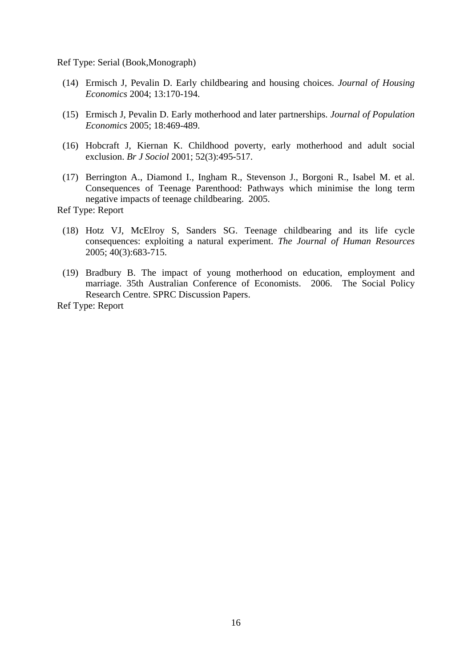Ref Type: Serial (Book,Monograph)

- (14) Ermisch J, Pevalin D. Early childbearing and housing choices. *Journal of Housing Economics* 2004; 13:170-194.
- (15) Ermisch J, Pevalin D. Early motherhood and later partnerships. *Journal of Population Economics* 2005; 18:469-489.
- (16) Hobcraft J, Kiernan K. Childhood poverty, early motherhood and adult social exclusion. *Br J Sociol* 2001; 52(3):495-517.
- (17) Berrington A., Diamond I., Ingham R., Stevenson J., Borgoni R., Isabel M. et al. Consequences of Teenage Parenthood: Pathways which minimise the long term negative impacts of teenage childbearing. 2005.

Ref Type: Report

- (18) Hotz VJ, McElroy S, Sanders SG. Teenage childbearing and its life cycle consequences: exploiting a natural experiment. *The Journal of Human Resources* 2005; 40(3):683-715.
- (19) Bradbury B. The impact of young motherhood on education, employment and marriage. 35th Australian Conference of Economists. 2006. The Social Policy Research Centre. SPRC Discussion Papers.

Ref Type: Report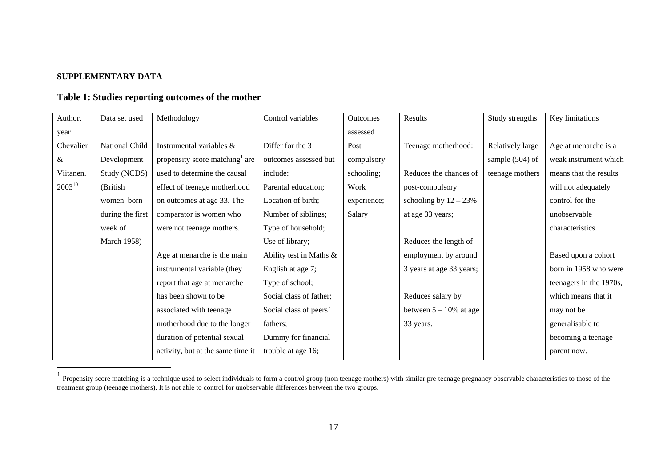# **SUPPLEMENTARY DATA**

# **Table 1: Studies reporting outcomes of the mother**

| Author,     | Data set used      | Methodology                       | Control variables       | <b>Outcomes</b> | Results                   | Study strengths  | Key limitations         |
|-------------|--------------------|-----------------------------------|-------------------------|-----------------|---------------------------|------------------|-------------------------|
| year        |                    |                                   |                         | assessed        |                           |                  |                         |
| Chevalier   | National Child     | Instrumental variables &          | Differ for the 3        | Post            | Teenage motherhood:       | Relatively large | Age at menarche is a    |
| &           | Development        | propensity score matching are     | outcomes assessed but   | compulsory      |                           | sample (504) of  | weak instrument which   |
| Viitanen.   | Study (NCDS)       | used to determine the causal      | include:                | schooling;      | Reduces the chances of    | teenage mothers  | means that the results  |
| $2003^{10}$ | (British           | effect of teenage motherhood      | Parental education;     | Work            | post-compulsory           |                  | will not adequately     |
|             | women born         | on outcomes at age 33. The        | Location of birth;      | experience;     | schooling by $12 - 23%$   |                  | control for the         |
|             | during the first   | comparator is women who           | Number of siblings;     | Salary          | at age 33 years;          |                  | unobservable            |
|             | week of            | were not teenage mothers.         | Type of household;      |                 |                           |                  | characteristics.        |
|             | <b>March 1958)</b> |                                   | Use of library;         |                 | Reduces the length of     |                  |                         |
|             |                    | Age at menarche is the main       | Ability test in Maths & |                 | employment by around      |                  | Based upon a cohort     |
|             |                    | instrumental variable (they       | English at age 7;       |                 | 3 years at age 33 years;  |                  | born in 1958 who were   |
|             |                    | report that age at menarche       | Type of school;         |                 |                           |                  | teenagers in the 1970s, |
|             |                    | has been shown to be              | Social class of father; |                 | Reduces salary by         |                  | which means that it     |
|             |                    | associated with teenage           | Social class of peers'  |                 | between $5 - 10\%$ at age |                  | may not be              |
|             |                    | motherhood due to the longer      | fathers;                |                 | 33 years.                 |                  | generalisable to        |
|             |                    | duration of potential sexual      | Dummy for financial     |                 |                           |                  | becoming a teenage      |
|             |                    | activity, but at the same time it | trouble at age 16;      |                 |                           |                  | parent now.             |

<sup>&</sup>lt;sup>1</sup> Propensity score matching is a technique used to select individuals to form a control group (non teenage mothers) with similar pre-teenage pregnancy observable characteristics to those of the treatment group (teenage mothers). It is not able to control for unobservable differences between the two groups.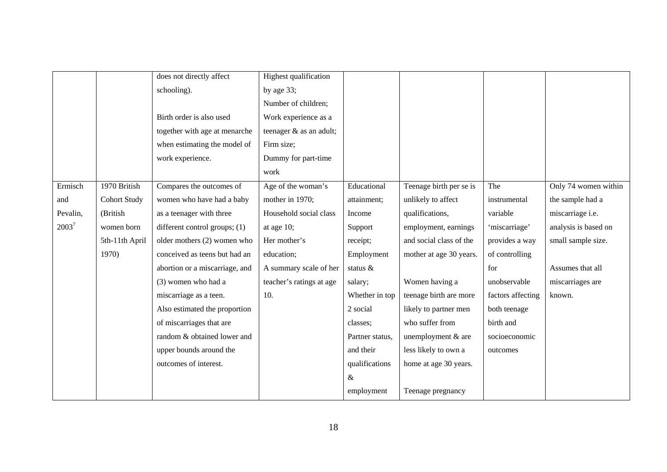|          |                     | does not directly affect        | Highest qualification    |                 |                         |                   |                      |
|----------|---------------------|---------------------------------|--------------------------|-----------------|-------------------------|-------------------|----------------------|
|          |                     | schooling).                     | by age 33;               |                 |                         |                   |                      |
|          |                     |                                 | Number of children;      |                 |                         |                   |                      |
|          |                     | Birth order is also used        | Work experience as a     |                 |                         |                   |                      |
|          |                     | together with age at menarche   | teenager & as an adult;  |                 |                         |                   |                      |
|          |                     | when estimating the model of    | Firm size;               |                 |                         |                   |                      |
|          |                     | work experience.                | Dummy for part-time      |                 |                         |                   |                      |
|          |                     |                                 | work                     |                 |                         |                   |                      |
| Ermisch  | 1970 British        | Compares the outcomes of        | Age of the woman's       | Educational     | Teenage birth per se is | The               | Only 74 women within |
| and      | <b>Cohort Study</b> | women who have had a baby       | mother in 1970;          | attainment;     | unlikely to affect      | instrumental      | the sample had a     |
| Pevalin, | (British            | as a teenager with three        | Household social class   | Income          | qualifications,         | variable          | miscarriage i.e.     |
| $2003^7$ | women born          | different control groups; $(1)$ | at age 10;               | Support         | employment, earnings    | 'miscarriage'     | analysis is based on |
|          | 5th-11th April      | older mothers (2) women who     | Her mother's             | receipt;        | and social class of the | provides a way    | small sample size.   |
|          | 1970)               | conceived as teens but had an   | education;               | Employment      | mother at age 30 years. | of controlling    |                      |
|          |                     | abortion or a miscarriage, and  | A summary scale of her   | status &        |                         | for               | Assumes that all     |
|          |                     | (3) women who had a             | teacher's ratings at age | salary;         | Women having a          | unobservable      | miscarriages are     |
|          |                     | miscarriage as a teen.          | 10.                      | Whether in top  | teenage birth are more  | factors affecting | known.               |
|          |                     | Also estimated the proportion   |                          | 2 social        | likely to partner men   | both teenage      |                      |
|          |                     | of miscarriages that are        |                          | classes;        | who suffer from         | birth and         |                      |
|          |                     | random & obtained lower and     |                          | Partner status, | unemployment & are      | socioeconomic     |                      |
|          |                     | upper bounds around the         |                          | and their       | less likely to own a    | outcomes          |                      |
|          |                     | outcomes of interest.           |                          | qualifications  | home at age 30 years.   |                   |                      |
|          |                     |                                 |                          | $\&$            |                         |                   |                      |
|          |                     |                                 |                          | employment      | Teenage pregnancy       |                   |                      |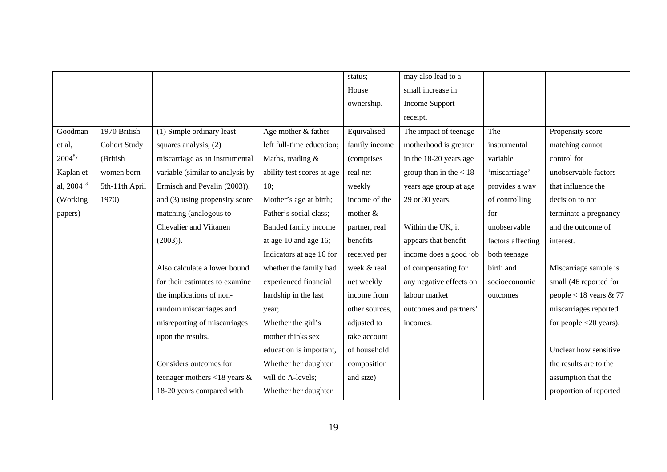|                        |                     |                                  |                            | status;        | may also lead to a       |                   |                           |
|------------------------|---------------------|----------------------------------|----------------------------|----------------|--------------------------|-------------------|---------------------------|
|                        |                     |                                  |                            | House          | small increase in        |                   |                           |
|                        |                     |                                  |                            | ownership.     | Income Support           |                   |                           |
|                        |                     |                                  |                            |                | receipt.                 |                   |                           |
| Goodman                | 1970 British        | (1) Simple ordinary least        | Age mother & father        | Equivalised    | The impact of teenage    | The               | Propensity score          |
| et al,                 | <b>Cohort Study</b> | squares analysis, (2)            | left full-time education;  | family income  | motherhood is greater    | instrumental      | matching cannot           |
| $2004^{8}$ /           | (British            | miscarriage as an instrumental   | Maths, reading &           | (comprises     | in the 18-20 years age   | variable          | control for               |
| Kaplan et              | women born          | variable (similar to analysis by | ability test scores at age | real net       | group than in the $< 18$ | 'miscarriage'     | unobservable factors      |
| al, 2004 <sup>13</sup> | 5th-11th April      | Ermisch and Pevalin (2003)),     | 10;                        | weekly         | years age group at age   | provides a way    | that influence the        |
| (Working               | 1970)               | and (3) using propensity score   | Mother's age at birth;     | income of the  | 29 or 30 years.          | of controlling    | decision to not           |
| papers)                |                     | matching (analogous to           | Father's social class;     | mother $&$     |                          | for               | terminate a pregnancy     |
|                        |                     | Chevalier and Viitanen           | Banded family income       | partner, real  | Within the UK, it        | unobservable      | and the outcome of        |
|                        |                     | $(2003)$ ).                      | at age 10 and age 16;      | benefits       | appears that benefit     | factors affecting | interest.                 |
|                        |                     |                                  | Indicators at age 16 for   | received per   | income does a good job   | both teenage      |                           |
|                        |                     | Also calculate a lower bound     | whether the family had     | week & real    | of compensating for      | birth and         | Miscarriage sample is     |
|                        |                     | for their estimates to examine   | experienced financial      | net weekly     | any negative effects on  | socioeconomic     | small (46 reported for    |
|                        |                     | the implications of non-         | hardship in the last       | income from    | labour market            | outcomes          | people < 18 years $& 77$  |
|                        |                     | random miscarriages and          | year;                      | other sources, | outcomes and partners'   |                   | miscarriages reported     |
|                        |                     | misreporting of miscarriages     | Whether the girl's         | adjusted to    | incomes.                 |                   | for people $<$ 20 years). |
|                        |                     | upon the results.                | mother thinks sex          | take account   |                          |                   |                           |
|                        |                     |                                  | education is important,    | of household   |                          |                   | Unclear how sensitive     |
|                        |                     | Considers outcomes for           | Whether her daughter       | composition    |                          |                   | the results are to the    |
|                        |                     | teenager mothers <18 years $&$   | will do A-levels;          | and size)      |                          |                   | assumption that the       |
|                        |                     | 18-20 years compared with        | Whether her daughter       |                |                          |                   | proportion of reported    |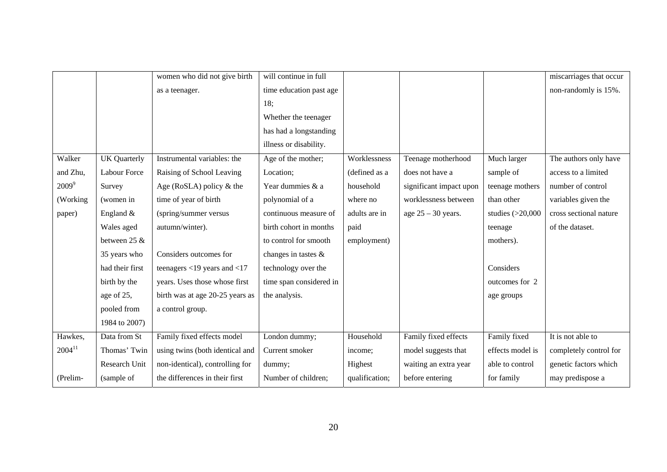|             |                     | women who did not give birth      | will continue in full   |                |                         |                    | miscarriages that occur |
|-------------|---------------------|-----------------------------------|-------------------------|----------------|-------------------------|--------------------|-------------------------|
|             |                     | as a teenager.                    | time education past age |                |                         |                    | non-randomly is 15%.    |
|             |                     |                                   | 18;                     |                |                         |                    |                         |
|             |                     |                                   | Whether the teenager    |                |                         |                    |                         |
|             |                     |                                   | has had a longstanding  |                |                         |                    |                         |
|             |                     |                                   | illness or disability.  |                |                         |                    |                         |
| Walker      | <b>UK</b> Quarterly | Instrumental variables: the       | Age of the mother;      | Worklessness   | Teenage motherhood      | Much larger        | The authors only have   |
| and Zhu,    | <b>Labour Force</b> | Raising of School Leaving         | Location;               | (defined as a  | does not have a         | sample of          | access to a limited     |
| $2009^9$    | Survey              | Age (RoSLA) policy $&$ the        | Year dummies & a        | household      | significant impact upon | teenage mothers    | number of control       |
| (Working    | (women in           | time of year of birth             | polynomial of a         | where no       | worklessness between    | than other         | variables given the     |
| paper)      | England $&$         | (spring/summer versus             | continuous measure of   | adults are in  | age $25 - 30$ years.    | studies $(>20,000$ | cross sectional nature  |
|             | Wales aged          | autumn/winter).                   | birth cohort in months  | paid           |                         | teenage            | of the dataset.         |
|             | between 25 &        |                                   | to control for smooth   | employment)    |                         | mothers).          |                         |
|             | 35 years who        | Considers outcomes for            | changes in tastes &     |                |                         |                    |                         |
|             | had their first     | teenagers $<$ 19 years and $<$ 17 | technology over the     |                |                         | Considers          |                         |
|             | birth by the        | years. Uses those whose first     | time span considered in |                |                         | outcomes for 2     |                         |
|             | age of 25,          | birth was at age 20-25 years as   | the analysis.           |                |                         | age groups         |                         |
|             | pooled from         | a control group.                  |                         |                |                         |                    |                         |
|             | 1984 to 2007)       |                                   |                         |                |                         |                    |                         |
| Hawkes,     | Data from St        | Family fixed effects model        | London dummy;           | Household      | Family fixed effects    | Family fixed       | It is not able to       |
| $2004^{11}$ | Thomas' Twin        | using twins (both identical and   | Current smoker          | income:        | model suggests that     | effects model is   | completely control for  |
|             | Research Unit       | non-identical), controlling for   | dummy;                  | Highest        | waiting an extra year   | able to control    | genetic factors which   |
| (Prelim-    | (sample of          | the differences in their first    | Number of children;     | qualification; | before entering         | for family         | may predispose a        |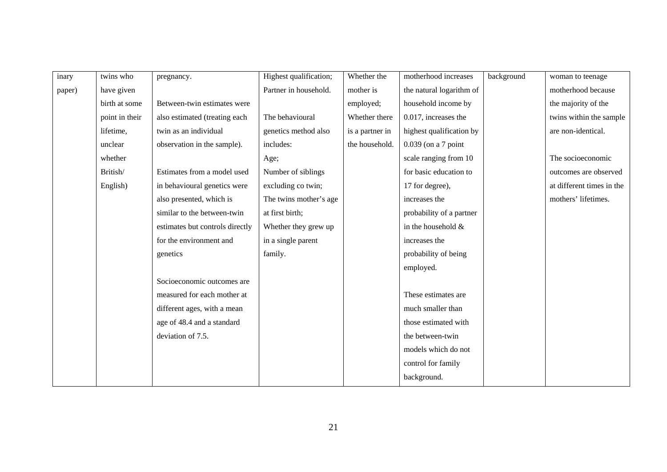| inary  | twins who      | pregnancy.                      | Highest qualification; | Whether the     | motherhood increases     | background | woman to teenage          |
|--------|----------------|---------------------------------|------------------------|-----------------|--------------------------|------------|---------------------------|
| paper) | have given     |                                 | Partner in household.  | mother is       | the natural logarithm of |            | motherhood because        |
|        | birth at some  | Between-twin estimates were     |                        | employed;       | household income by      |            | the majority of the       |
|        | point in their | also estimated (treating each   | The behavioural        | Whether there   | 0.017, increases the     |            | twins within the sample   |
|        | lifetime,      | twin as an individual           | genetics method also   | is a partner in | highest qualification by |            | are non-identical.        |
|        | unclear        | observation in the sample).     | includes:              | the household.  | $0.039$ (on a 7 point    |            |                           |
|        | whether        |                                 | Age;                   |                 | scale ranging from 10    |            | The socioeconomic         |
|        | British/       | Estimates from a model used     | Number of siblings     |                 | for basic education to   |            | outcomes are observed     |
|        | English)       | in behavioural genetics were    | excluding co twin;     |                 | 17 for degree),          |            | at different times in the |
|        |                | also presented, which is        | The twins mother's age |                 | increases the            |            | mothers' lifetimes.       |
|        |                | similar to the between-twin     | at first birth;        |                 | probability of a partner |            |                           |
|        |                | estimates but controls directly | Whether they grew up   |                 | in the household $&$     |            |                           |
|        |                | for the environment and         | in a single parent     |                 | increases the            |            |                           |
|        |                | genetics                        | family.                |                 | probability of being     |            |                           |
|        |                |                                 |                        |                 | employed.                |            |                           |
|        |                | Socioeconomic outcomes are      |                        |                 |                          |            |                           |
|        |                | measured for each mother at     |                        |                 | These estimates are      |            |                           |
|        |                | different ages, with a mean     |                        |                 | much smaller than        |            |                           |
|        |                | age of 48.4 and a standard      |                        |                 | those estimated with     |            |                           |
|        |                | deviation of 7.5.               |                        |                 | the between-twin         |            |                           |
|        |                |                                 |                        |                 | models which do not      |            |                           |
|        |                |                                 |                        |                 | control for family       |            |                           |
|        |                |                                 |                        |                 | background.              |            |                           |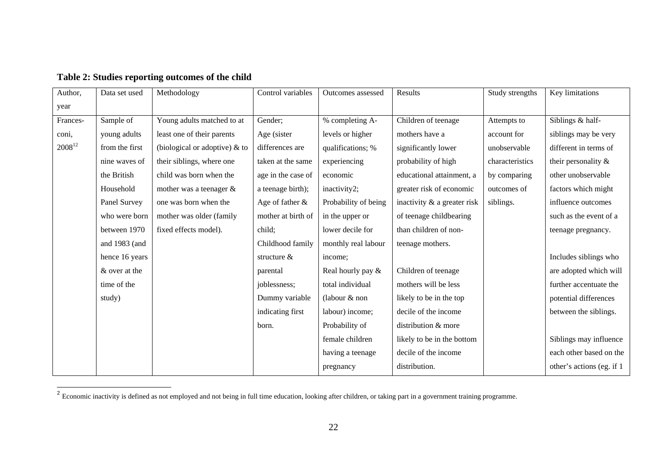| Author,     | Data set used  | Methodology                      | Control variables  | Outcomes assessed    | Results                     | Study strengths | Key limitations           |
|-------------|----------------|----------------------------------|--------------------|----------------------|-----------------------------|-----------------|---------------------------|
| year        |                |                                  |                    |                      |                             |                 |                           |
| Frances-    | Sample of      | Young adults matched to at       | Gender;            | % completing A-      | Children of teenage         | Attempts to     | Siblings & half-          |
| coni,       | young adults   | least one of their parents       | Age (sister        | levels or higher     | mothers have a              | account for     | siblings may be very      |
| $2008^{12}$ | from the first | (biological or adoptive) $\&$ to | differences are    | qualifications; %    | significantly lower         | unobservable    | different in terms of     |
|             | nine waves of  | their siblings, where one        | taken at the same  | experiencing         | probability of high         | characteristics | their personality &       |
|             | the British    | child was born when the          | age in the case of | economic             | educational attainment, a   | by comparing    | other unobservable        |
|             | Household      | mother was a teenager $&$        | a teenage birth);  | inactivity2;         | greater risk of economic    | outcomes of     | factors which might       |
|             | Panel Survey   | one was born when the            | Age of father $\&$ | Probability of being | inactivity & a greater risk | siblings.       | influence outcomes        |
|             | who were born  | mother was older (family         | mother at birth of | in the upper or      | of teenage childbearing     |                 | such as the event of a    |
|             | between 1970   | fixed effects model).            | child;             | lower decile for     | than children of non-       |                 | teenage pregnancy.        |
|             | and 1983 (and  |                                  | Childhood family   | monthly real labour  | teenage mothers.            |                 |                           |
|             | hence 16 years |                                  | structure $&$      | income;              |                             |                 | Includes siblings who     |
|             | & over at the  |                                  | parental           | Real hourly pay &    | Children of teenage         |                 | are adopted which will    |
|             | time of the    |                                  | joblessness;       | total individual     | mothers will be less        |                 | further accentuate the    |
|             | study)         |                                  | Dummy variable     | (labour $&$ non      | likely to be in the top     |                 | potential differences     |
|             |                |                                  | indicating first   | labour) income;      | decile of the income        |                 | between the siblings.     |
|             |                |                                  | born.              | Probability of       | distribution & more         |                 |                           |
|             |                |                                  |                    | female children      | likely to be in the bottom  |                 | Siblings may influence    |
|             |                |                                  |                    | having a teenage     | decile of the income        |                 | each other based on the   |
|             |                |                                  |                    | pregnancy            | distribution.               |                 | other's actions (eg. if 1 |

**Table 2: Studies reporting outcomes of the child** 

<sup>&</sup>lt;sup>2</sup> Economic inactivity is defined as not employed and not being in full time education, looking after children, or taking part in a government training programme.